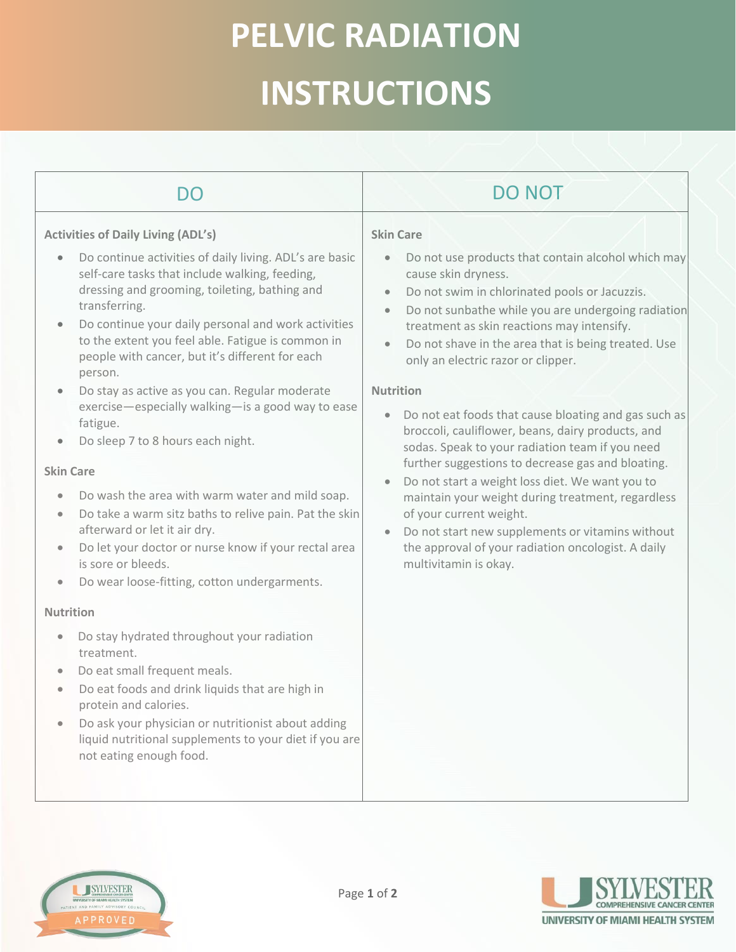# **PELVIC RADIATION INSTRUCTIONS**

| DO                                                                                                                                                                                                                                                                                                                                                                                                                                                                                                                                                                                                                                                                                                                                                                                                                                                                                                                                                                                                                                                                                                                                                                                                                                                                                                       | <b>DO NOT</b>                                                                                                                                                                                                                                                                                                                                                                                                                                                                                                                                                                                                                                                                                                                                                                                                                                                                                                      |
|----------------------------------------------------------------------------------------------------------------------------------------------------------------------------------------------------------------------------------------------------------------------------------------------------------------------------------------------------------------------------------------------------------------------------------------------------------------------------------------------------------------------------------------------------------------------------------------------------------------------------------------------------------------------------------------------------------------------------------------------------------------------------------------------------------------------------------------------------------------------------------------------------------------------------------------------------------------------------------------------------------------------------------------------------------------------------------------------------------------------------------------------------------------------------------------------------------------------------------------------------------------------------------------------------------|--------------------------------------------------------------------------------------------------------------------------------------------------------------------------------------------------------------------------------------------------------------------------------------------------------------------------------------------------------------------------------------------------------------------------------------------------------------------------------------------------------------------------------------------------------------------------------------------------------------------------------------------------------------------------------------------------------------------------------------------------------------------------------------------------------------------------------------------------------------------------------------------------------------------|
| <b>Activities of Daily Living (ADL's)</b><br>Do continue activities of daily living. ADL's are basic<br>self-care tasks that include walking, feeding,<br>dressing and grooming, toileting, bathing and<br>transferring.<br>Do continue your daily personal and work activities<br>to the extent you feel able. Fatigue is common in<br>people with cancer, but it's different for each<br>person.<br>Do stay as active as you can. Regular moderate<br>$\bullet$<br>exercise-especially walking-is a good way to ease<br>fatigue.<br>Do sleep 7 to 8 hours each night.<br><b>Skin Care</b><br>Do wash the area with warm water and mild soap.<br>$\bullet$<br>Do take a warm sitz baths to relive pain. Pat the skin<br>$\bullet$<br>afterward or let it air dry.<br>Do let your doctor or nurse know if your rectal area<br>$\bullet$<br>is sore or bleeds.<br>Do wear loose-fitting, cotton undergarments.<br>$\bullet$<br><b>Nutrition</b><br>Do stay hydrated throughout your radiation<br>$\bullet$<br>treatment.<br>Do eat small frequent meals.<br>$\bullet$<br>Do eat foods and drink liquids that are high in<br>$\bullet$<br>protein and calories.<br>Do ask your physician or nutritionist about adding<br>liquid nutritional supplements to your diet if you are<br>not eating enough food. | <b>Skin Care</b><br>Do not use products that contain alcohol which may<br>$\bullet$<br>cause skin dryness.<br>Do not swim in chlorinated pools or Jacuzzis.<br>$\bullet$<br>Do not sunbathe while you are undergoing radiation<br>$\bullet$<br>treatment as skin reactions may intensify.<br>Do not shave in the area that is being treated. Use<br>only an electric razor or clipper.<br><b>Nutrition</b><br>Do not eat foods that cause bloating and gas such as<br>$\bullet$<br>broccoli, cauliflower, beans, dairy products, and<br>sodas. Speak to your radiation team if you need<br>further suggestions to decrease gas and bloating.<br>Do not start a weight loss diet. We want you to<br>maintain your weight during treatment, regardless<br>of your current weight.<br>Do not start new supplements or vitamins without<br>the approval of your radiation oncologist. A daily<br>multivitamin is okay. |